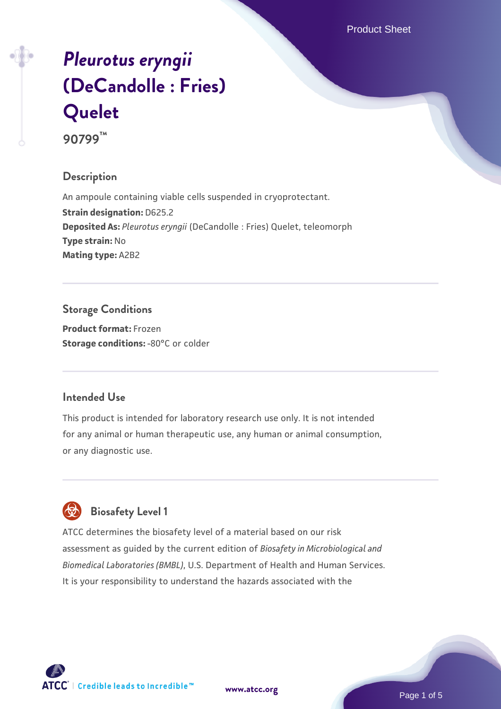Product Sheet

# *[Pleurotus eryngii](https://www.atcc.org/products/90799)* **[\(DeCandolle : Fries\)](https://www.atcc.org/products/90799) [Quelet](https://www.atcc.org/products/90799)**

**90799™**

# **Description**

An ampoule containing viable cells suspended in cryoprotectant. **Strain designation:** D625.2 **Deposited As:** *Pleurotus eryngii* (DeCandolle : Fries) Quelet, teleomorph **Type strain:** No **Mating type:** A2B2

# **Storage Conditions**

**Product format:** Frozen **Storage conditions: -80°C or colder** 

## **Intended Use**

This product is intended for laboratory research use only. It is not intended for any animal or human therapeutic use, any human or animal consumption, or any diagnostic use.

# **Biosafety Level 1**

ATCC determines the biosafety level of a material based on our risk assessment as guided by the current edition of *Biosafety in Microbiological and Biomedical Laboratories (BMBL)*, U.S. Department of Health and Human Services. It is your responsibility to understand the hazards associated with the

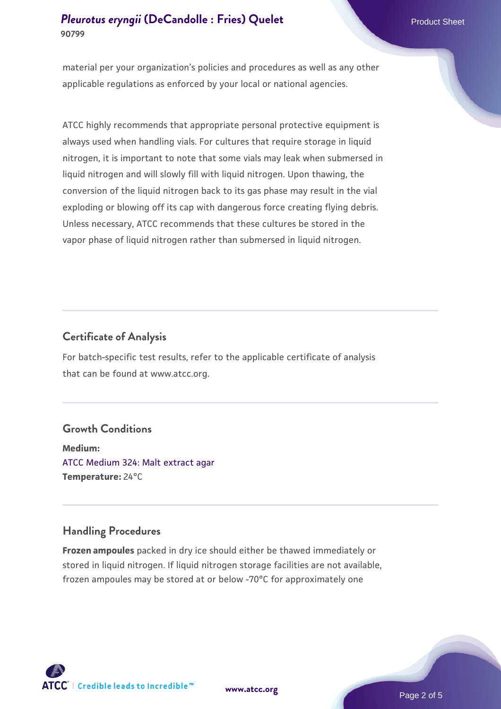# **[Pleurotus eryngii](https://www.atcc.org/products/90799)** [\(DeCandolle : Fries\) Quelet](https://www.atcc.org/products/90799) **Product Sheet** Product Sheet **90799**

material per your organization's policies and procedures as well as any other applicable regulations as enforced by your local or national agencies.

ATCC highly recommends that appropriate personal protective equipment is always used when handling vials. For cultures that require storage in liquid nitrogen, it is important to note that some vials may leak when submersed in liquid nitrogen and will slowly fill with liquid nitrogen. Upon thawing, the conversion of the liquid nitrogen back to its gas phase may result in the vial exploding or blowing off its cap with dangerous force creating flying debris. Unless necessary, ATCC recommends that these cultures be stored in the vapor phase of liquid nitrogen rather than submersed in liquid nitrogen.

# **Certificate of Analysis**

For batch-specific test results, refer to the applicable certificate of analysis that can be found at www.atcc.org.

### **Growth Conditions**

**Medium:**  [ATCC Medium 324: Malt extract agar](https://www.atcc.org/-/media/product-assets/documents/microbial-media-formulations/3/2/4/atcc-medium-324.pdf?rev=5a8b3f6dcb23452d9462ec38b36f0bb6) **Temperature:** 24°C

# **Handling Procedures**

**Frozen ampoules** packed in dry ice should either be thawed immediately or stored in liquid nitrogen. If liquid nitrogen storage facilities are not available, frozen ampoules may be stored at or below -70°C for approximately one



**[www.atcc.org](http://www.atcc.org)**

Page 2 of 5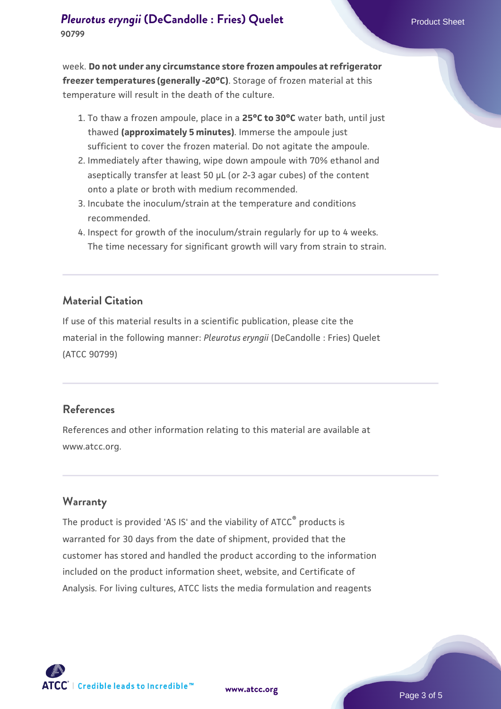week. **Do not under any circumstance store frozen ampoules at refrigerator freezer temperatures (generally -20°C)**. Storage of frozen material at this temperature will result in the death of the culture.

- 1. To thaw a frozen ampoule, place in a **25°C to 30°C** water bath, until just thawed **(approximately 5 minutes)**. Immerse the ampoule just sufficient to cover the frozen material. Do not agitate the ampoule.
- 2. Immediately after thawing, wipe down ampoule with 70% ethanol and aseptically transfer at least 50 µL (or 2-3 agar cubes) of the content onto a plate or broth with medium recommended.
- Incubate the inoculum/strain at the temperature and conditions 3. recommended.
- 4. Inspect for growth of the inoculum/strain regularly for up to 4 weeks. The time necessary for significant growth will vary from strain to strain.

#### **Material Citation**

If use of this material results in a scientific publication, please cite the material in the following manner: *Pleurotus eryngii* (DeCandolle : Fries) Quelet (ATCC 90799)

#### **References**

References and other information relating to this material are available at www.atcc.org.

#### **Warranty**

The product is provided 'AS IS' and the viability of ATCC® products is warranted for 30 days from the date of shipment, provided that the customer has stored and handled the product according to the information included on the product information sheet, website, and Certificate of Analysis. For living cultures, ATCC lists the media formulation and reagents

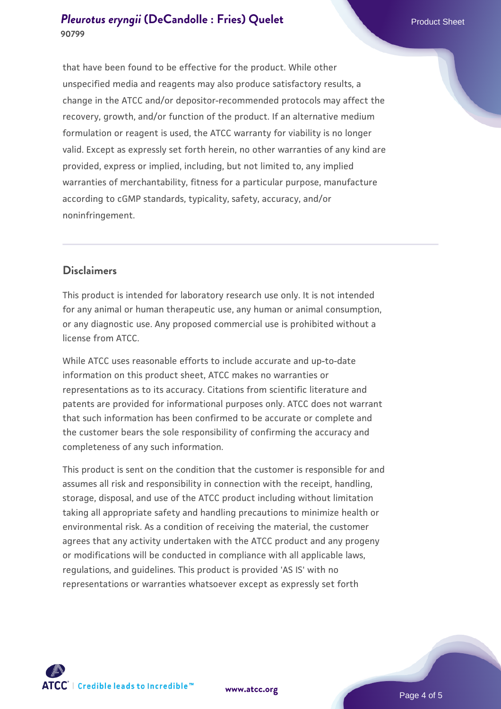# **[Pleurotus eryngii](https://www.atcc.org/products/90799)** [\(DeCandolle : Fries\) Quelet](https://www.atcc.org/products/90799) **Product Sheet** Product Sheet **90799**

that have been found to be effective for the product. While other unspecified media and reagents may also produce satisfactory results, a change in the ATCC and/or depositor-recommended protocols may affect the recovery, growth, and/or function of the product. If an alternative medium formulation or reagent is used, the ATCC warranty for viability is no longer valid. Except as expressly set forth herein, no other warranties of any kind are provided, express or implied, including, but not limited to, any implied warranties of merchantability, fitness for a particular purpose, manufacture according to cGMP standards, typicality, safety, accuracy, and/or noninfringement.

# **Disclaimers**

This product is intended for laboratory research use only. It is not intended for any animal or human therapeutic use, any human or animal consumption, or any diagnostic use. Any proposed commercial use is prohibited without a license from ATCC.

While ATCC uses reasonable efforts to include accurate and up-to-date information on this product sheet, ATCC makes no warranties or representations as to its accuracy. Citations from scientific literature and patents are provided for informational purposes only. ATCC does not warrant that such information has been confirmed to be accurate or complete and the customer bears the sole responsibility of confirming the accuracy and completeness of any such information.

This product is sent on the condition that the customer is responsible for and assumes all risk and responsibility in connection with the receipt, handling, storage, disposal, and use of the ATCC product including without limitation taking all appropriate safety and handling precautions to minimize health or environmental risk. As a condition of receiving the material, the customer agrees that any activity undertaken with the ATCC product and any progeny or modifications will be conducted in compliance with all applicable laws, regulations, and guidelines. This product is provided 'AS IS' with no representations or warranties whatsoever except as expressly set forth



**[www.atcc.org](http://www.atcc.org)**

Page 4 of 5